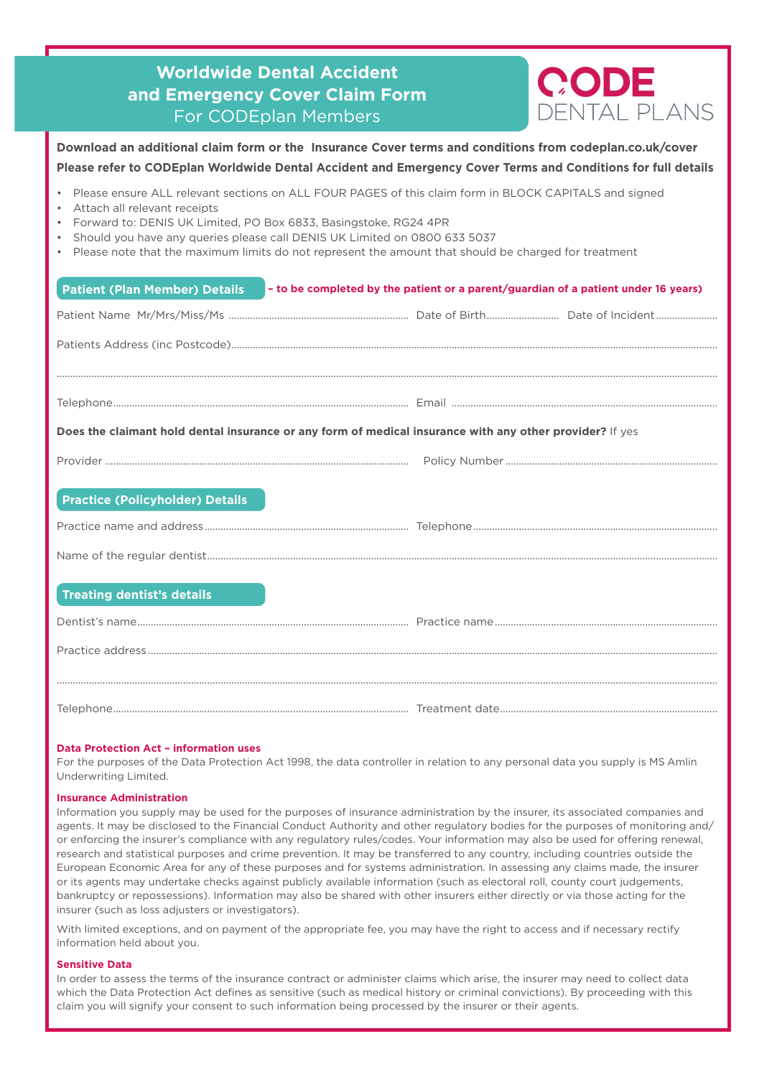| <b>Worldwide Dental Accident</b><br>and Emergency Cover Claim Form<br>For CODEplan Members                                                                                                                                                                                                                                                                                                     | CODE<br>DENTAL PLANS                                                               |  |  |  |  |
|------------------------------------------------------------------------------------------------------------------------------------------------------------------------------------------------------------------------------------------------------------------------------------------------------------------------------------------------------------------------------------------------|------------------------------------------------------------------------------------|--|--|--|--|
| Download an additional claim form or the Insurance Cover terms and conditions from codeplan.co.uk/cover<br>Please refer to CODEplan Worldwide Dental Accident and Emergency Cover Terms and Conditions for full details                                                                                                                                                                        |                                                                                    |  |  |  |  |
| Please ensure ALL relevant sections on ALL FOUR PAGES of this claim form in BLOCK CAPITALS and signed<br>Attach all relevant receipts<br>Forward to: DENIS UK Limited, PO Box 6833, Basingstoke, RG24 4PR<br>Should you have any queries please call DENIS UK Limited on 0800 633 5037<br>Please note that the maximum limits do not represent the amount that should be charged for treatment |                                                                                    |  |  |  |  |
| <b>Patient (Plan Member) Details</b>                                                                                                                                                                                                                                                                                                                                                           | - to be completed by the patient or a parent/guardian of a patient under 16 years) |  |  |  |  |
|                                                                                                                                                                                                                                                                                                                                                                                                |                                                                                    |  |  |  |  |
|                                                                                                                                                                                                                                                                                                                                                                                                |                                                                                    |  |  |  |  |
|                                                                                                                                                                                                                                                                                                                                                                                                |                                                                                    |  |  |  |  |
|                                                                                                                                                                                                                                                                                                                                                                                                |                                                                                    |  |  |  |  |
| Does the claimant hold dental insurance or any form of medical insurance with any other provider? If yes                                                                                                                                                                                                                                                                                       |                                                                                    |  |  |  |  |
|                                                                                                                                                                                                                                                                                                                                                                                                |                                                                                    |  |  |  |  |
|                                                                                                                                                                                                                                                                                                                                                                                                |                                                                                    |  |  |  |  |
| <b>Practice (Policyholder) Details</b>                                                                                                                                                                                                                                                                                                                                                         |                                                                                    |  |  |  |  |
|                                                                                                                                                                                                                                                                                                                                                                                                |                                                                                    |  |  |  |  |
|                                                                                                                                                                                                                                                                                                                                                                                                |                                                                                    |  |  |  |  |
| <b>Treating dentist's details</b>                                                                                                                                                                                                                                                                                                                                                              |                                                                                    |  |  |  |  |
|                                                                                                                                                                                                                                                                                                                                                                                                |                                                                                    |  |  |  |  |
|                                                                                                                                                                                                                                                                                                                                                                                                |                                                                                    |  |  |  |  |
|                                                                                                                                                                                                                                                                                                                                                                                                |                                                                                    |  |  |  |  |
|                                                                                                                                                                                                                                                                                                                                                                                                |                                                                                    |  |  |  |  |

#### **Data Protection Act – information uses**

For the purposes of the Data Protection Act 1998, the data controller in relation to any personal data you supply is MS Amlin Underwriting Limited.

#### **Insurance Administration**

Information you supply may be used for the purposes of insurance administration by the insurer, its associated companies and agents. It may be disclosed to the Financial Conduct Authority and other regulatory bodies for the purposes of monitoring and/ or enforcing the insurer's compliance with any regulatory rules/codes. Your information may also be used for offering renewal, research and statistical purposes and crime prevention. It may be transferred to any country, including countries outside the European Economic Area for any of these purposes and for systems administration. In assessing any claims made, the insurer or its agents may undertake checks against publicly available information (such as electoral roll, county court judgements, bankruptcy or repossessions). Information may also be shared with other insurers either directly or via those acting for the insurer (such as loss adjusters or investigators).

With limited exceptions, and on payment of the appropriate fee, you may have the right to access and if necessary rectify information held about you.

#### **Sensitive Data**

In order to assess the terms of the insurance contract or administer claims which arise, the insurer may need to collect data which the Data Protection Act defines as sensitive (such as medical history or criminal convictions). By proceeding with this claim you will signify your consent to such information being processed by the insurer or their agents.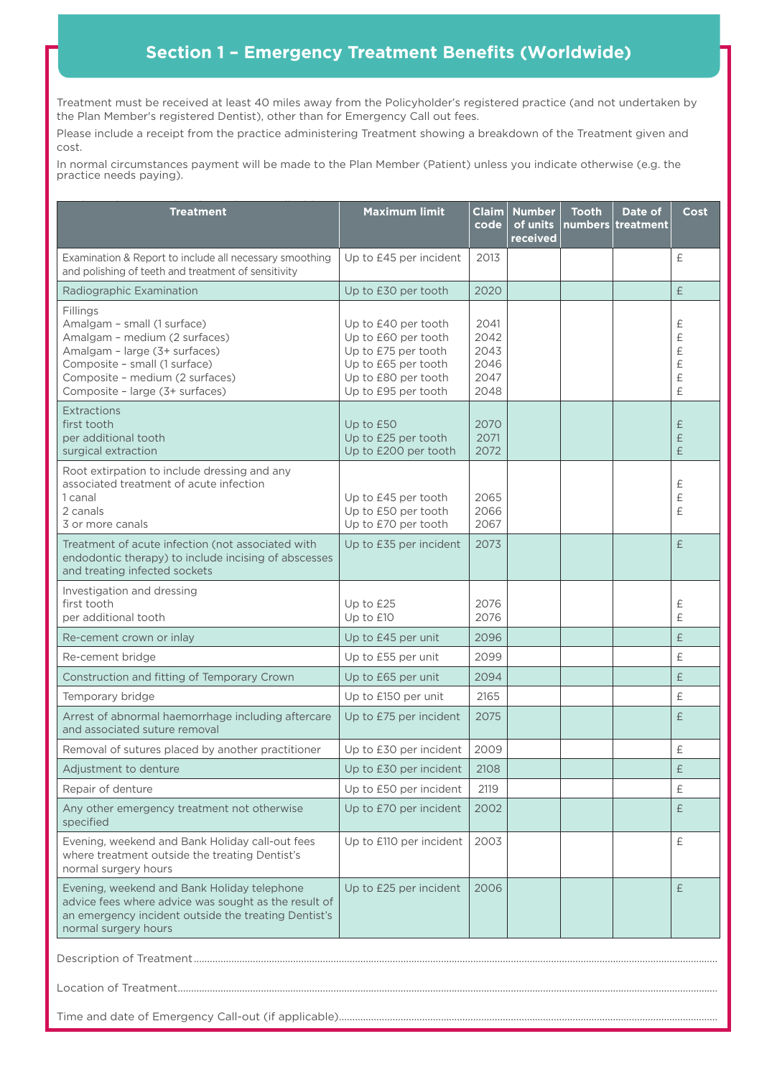# **Section 1 – Emergency Treatment Benefits (Worldwide)**

Treatment must be received at least 40 miles away from the Policyholder's registered practice (and not undertaken by the Plan Member's registered Dentist), other than for Emergency Call out fees.

Please include a receipt from the practice administering Treatment showing a breakdown of the Treatment given and cost.

In normal circumstances payment will be made to the Plan Member (Patient) unless you indicate otherwise (e.g. the practice needs paying).

| <b>Treatment</b>                                                                                                                                                                                                 | <b>Maximum limit</b>                                                                                                                   | Claim<br>code                                | <b>Number</b><br>of units<br>received | <b>Tooth</b> | Date of<br>numbers treatment | Cost                               |
|------------------------------------------------------------------------------------------------------------------------------------------------------------------------------------------------------------------|----------------------------------------------------------------------------------------------------------------------------------------|----------------------------------------------|---------------------------------------|--------------|------------------------------|------------------------------------|
| Examination & Report to include all necessary smoothing<br>and polishing of teeth and treatment of sensitivity                                                                                                   | Up to £45 per incident                                                                                                                 | 2013                                         |                                       |              |                              | £                                  |
| Radiographic Examination                                                                                                                                                                                         | Up to £30 per tooth                                                                                                                    | 2020                                         |                                       |              |                              | £                                  |
| Fillings<br>Amalgam - small (1 surface)<br>Amalgam - medium (2 surfaces)<br>Amalgam - large (3+ surfaces)<br>Composite - small (1 surface)<br>Composite - medium (2 surfaces)<br>Composite - large (3+ surfaces) | Up to £40 per tooth<br>Up to £60 per tooth<br>Up to £75 per tooth<br>Up to £65 per tooth<br>Up to £80 per tooth<br>Up to £95 per tooth | 2041<br>2042<br>2043<br>2046<br>2047<br>2048 |                                       |              |                              | £<br>£<br>$\pounds$<br>£<br>£<br>£ |
| Extractions<br>first tooth<br>per additional tooth<br>surgical extraction                                                                                                                                        | Up to £50<br>Up to £25 per tooth<br>Up to £200 per tooth                                                                               | 2070<br>2071<br>2072                         |                                       |              |                              | £<br>£<br>£                        |
| Root extirpation to include dressing and any<br>associated treatment of acute infection<br>1 canal<br>2 canals<br>3 or more canals                                                                               | Up to £45 per tooth<br>Up to £50 per tooth<br>Up to £70 per tooth                                                                      | 2065<br>2066<br>2067                         |                                       |              |                              | £<br>£<br>£                        |
| Treatment of acute infection (not associated with<br>endodontic therapy) to include incising of abscesses<br>and treating infected sockets                                                                       | Up to £35 per incident                                                                                                                 | 2073                                         |                                       |              |                              | £                                  |
| Investigation and dressing<br>first tooth<br>per additional tooth                                                                                                                                                | Up to £25<br>Up to £10                                                                                                                 | 2076<br>2076                                 |                                       |              |                              | £<br>£                             |
| Re-cement crown or inlay                                                                                                                                                                                         | Up to £45 per unit                                                                                                                     | 2096                                         |                                       |              |                              | £                                  |
| Re-cement bridge                                                                                                                                                                                                 | Up to £55 per unit                                                                                                                     | 2099                                         |                                       |              |                              | £                                  |
| Construction and fitting of Temporary Crown                                                                                                                                                                      | Up to £65 per unit                                                                                                                     | 2094                                         |                                       |              |                              | £                                  |
| Temporary bridge                                                                                                                                                                                                 | Up to £150 per unit                                                                                                                    | 2165                                         |                                       |              |                              | £                                  |
| Arrest of abnormal haemorrhage including aftercare<br>and associated suture removal                                                                                                                              | Up to £75 per incident                                                                                                                 | 2075                                         |                                       |              |                              | £                                  |
| Removal of sutures placed by another practitioner                                                                                                                                                                | Up to £30 per incident                                                                                                                 | 2009                                         |                                       |              |                              | £                                  |
| Adjustment to denture                                                                                                                                                                                            | Up to £30 per incident                                                                                                                 | 2108                                         |                                       |              |                              | £                                  |
| Repair of denture                                                                                                                                                                                                | Up to £50 per incident                                                                                                                 | 2119                                         |                                       |              |                              | £                                  |
| Any other emergency treatment not otherwise<br>specified                                                                                                                                                         | Up to £70 per incident                                                                                                                 | 2002                                         |                                       |              |                              | £                                  |
| Evening, weekend and Bank Holiday call-out fees<br>where treatment outside the treating Dentist's<br>normal surgery hours                                                                                        | Up to £110 per incident                                                                                                                | 2003                                         |                                       |              |                              | £                                  |
| Evening, weekend and Bank Holiday telephone<br>advice fees where advice was sought as the result of<br>an emergency incident outside the treating Dentist's<br>normal surgery hours                              | Up to £25 per incident                                                                                                                 | 2006                                         |                                       |              |                              | £                                  |
|                                                                                                                                                                                                                  |                                                                                                                                        |                                              |                                       |              |                              |                                    |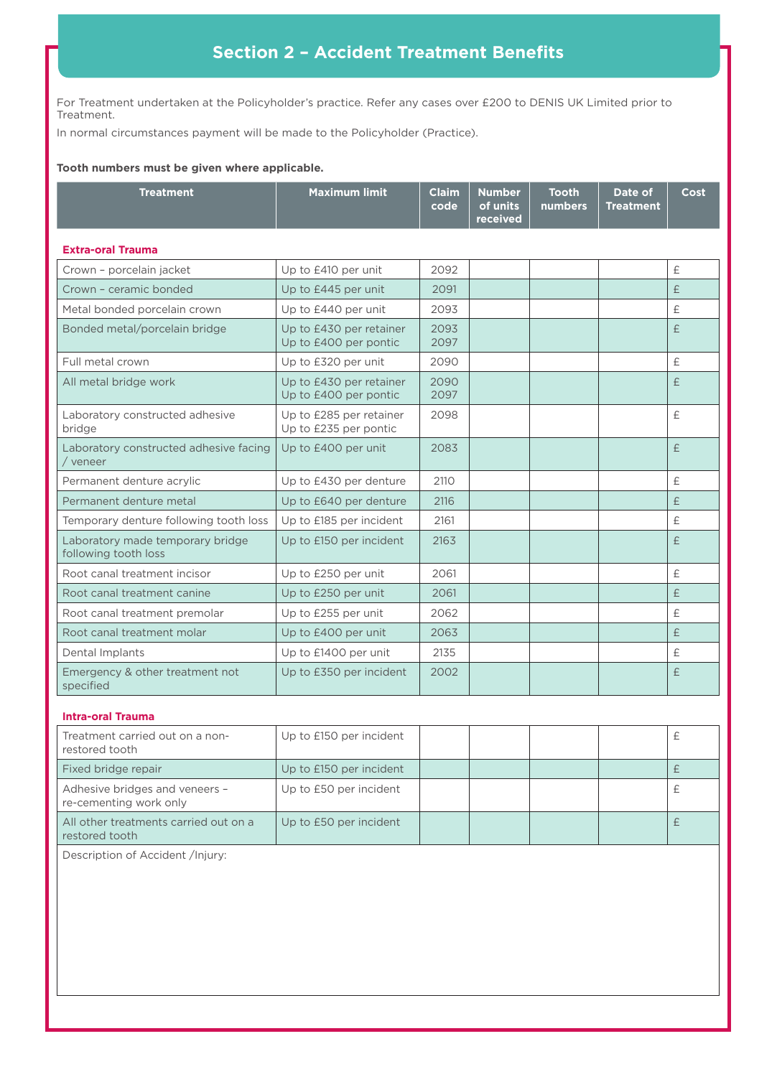# **Section 2 – Accident Treatment Benefits**

For Treatment undertaken at the Policyholder's practice. Refer any cases over £200 to DENIS UK Limited prior to Treatment.

In normal circumstances payment will be made to the Policyholder (Practice).

#### **Tooth numbers must be given where applicable.**

| <b>Treatment</b>                                         | <b>Maximum limit</b>                             | <b>Claim</b><br>code | <b>Number</b><br>of units<br>received | <b>Tooth</b><br>numbers | Date of<br><b>Treatment</b> | Cost      |
|----------------------------------------------------------|--------------------------------------------------|----------------------|---------------------------------------|-------------------------|-----------------------------|-----------|
| <b>Extra-oral Trauma</b>                                 |                                                  |                      |                                       |                         |                             |           |
| Crown - porcelain jacket                                 | Up to £410 per unit                              | 2092                 |                                       |                         |                             | $\pounds$ |
| Crown - ceramic bonded                                   | Up to £445 per unit                              | 2091                 |                                       |                         |                             | £         |
| Metal bonded porcelain crown                             | Up to £440 per unit                              | 2093                 |                                       |                         |                             | £         |
| Bonded metal/porcelain bridge                            | Up to £430 per retainer<br>Up to £400 per pontic | 2093<br>2097         |                                       |                         |                             | £         |
| Full metal crown                                         | Up to £320 per unit                              | 2090                 |                                       |                         |                             | $\pounds$ |
| All metal bridge work                                    | Up to £430 per retainer<br>Up to £400 per pontic | 2090<br>2097         |                                       |                         |                             | £         |
| Laboratory constructed adhesive<br>bridge                | Up to £285 per retainer<br>Up to £235 per pontic | 2098                 |                                       |                         |                             | £         |
| Laboratory constructed adhesive facing<br>veneer         | Up to £400 per unit                              | 2083                 |                                       |                         |                             | $\pounds$ |
| Permanent denture acrylic                                | Up to £430 per denture                           | 2110                 |                                       |                         |                             | $\pounds$ |
| Permanent denture metal                                  | Up to £640 per denture                           | 2116                 |                                       |                         |                             | £         |
| Temporary denture following tooth loss                   | Up to £185 per incident                          | 2161                 |                                       |                         |                             | $\pounds$ |
| Laboratory made temporary bridge<br>following tooth loss | Up to £150 per incident                          | 2163                 |                                       |                         |                             | £         |
| Root canal treatment incisor                             | Up to £250 per unit                              | 2061                 |                                       |                         |                             | £         |
| Root canal treatment canine                              | Up to £250 per unit                              | 2061                 |                                       |                         |                             | £         |
| Root canal treatment premolar                            | Up to £255 per unit                              | 2062                 |                                       |                         |                             | £         |
| Root canal treatment molar                               | Up to £400 per unit                              | 2063                 |                                       |                         |                             | £         |
| Dental Implants                                          | Up to £1400 per unit                             | 2135                 |                                       |                         |                             | £         |
| Emergency & other treatment not<br>specified             | Up to £350 per incident                          | 2002                 |                                       |                         |                             | £         |
| Intra-oral Trauma                                        |                                                  |                      |                                       |                         |                             |           |

| <b>Intra-oral Trauma</b> |  |
|--------------------------|--|
|--------------------------|--|

| Treatment carried out on a non-<br>restored tooth        | Up to £150 per incident |  |  |  |
|----------------------------------------------------------|-------------------------|--|--|--|
| Fixed bridge repair                                      | Up to £150 per incident |  |  |  |
| Adhesive bridges and veneers -<br>re-cementing work only | Up to £50 per incident  |  |  |  |
| All other treatments carried out on a<br>restored tooth  | Up to £50 per incident  |  |  |  |

Description of Accident /Injury: